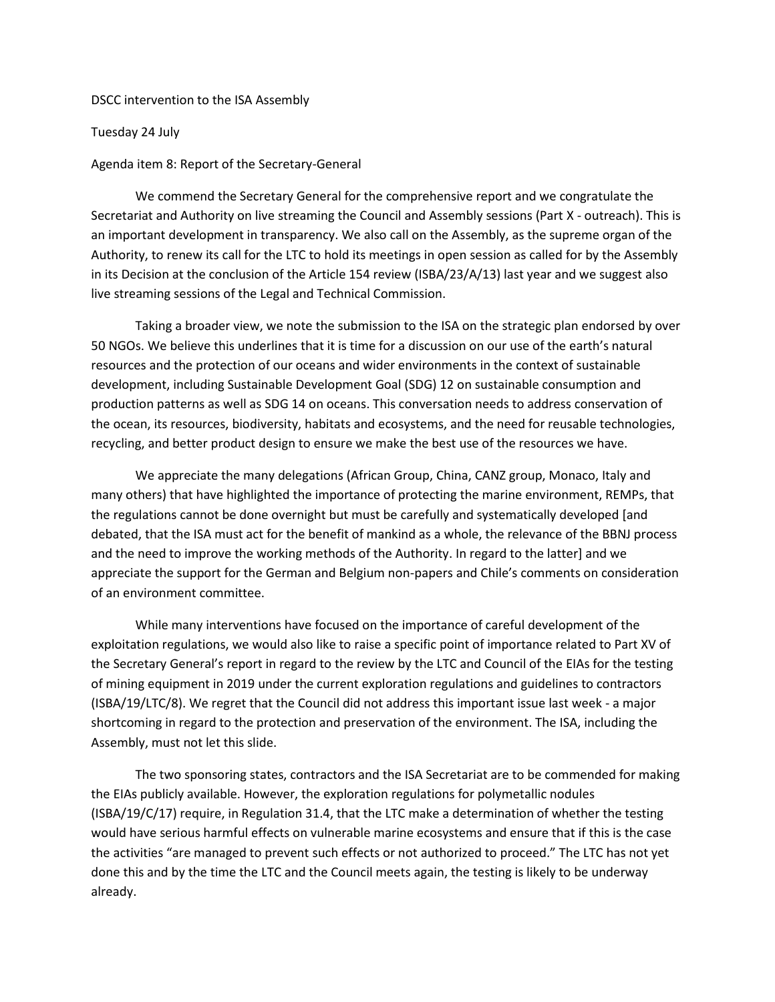DSCC intervention to the ISA Assembly

Tuesday 24 July

Agenda item 8: Report of the Secretary-General

 We commend the Secretary General for the comprehensive report and we congratulate the Secretariat and Authority on live streaming the Council and Assembly sessions (Part X - outreach). This is an important development in transparency. We also call on the Assembly, as the supreme organ of the Authority, to renew its call for the LTC to hold its meetings in open session as called for by the Assembly in its Decision at the conclusion of the Article 154 review (ISBA/23/A/13) last year and we suggest also live streaming sessions of the Legal and Technical Commission.

 Taking a broader view, we note the submission to the ISA on the strategic plan endorsed by over 50 NGOs. We believe this underlines that it is time for a discussion on our use of the earth's natural resources and the protection of our oceans and wider environments in the context of sustainable development, including Sustainable Development Goal (SDG) 12 on sustainable consumption and production patterns as well as SDG 14 on oceans. This conversation needs to address conservation of the ocean, its resources, biodiversity, habitats and ecosystems, and the need for reusable technologies, recycling, and better product design to ensure we make the best use of the resources we have.

 We appreciate the many delegations (African Group, China, CANZ group, Monaco, Italy and many others) that have highlighted the importance of protecting the marine environment, REMPs, that the regulations cannot be done overnight but must be carefully and systematically developed [and debated, that the ISA must act for the benefit of mankind as a whole, the relevance of the BBNJ process and the need to improve the working methods of the Authority. In regard to the latter] and we appreciate the support for the German and Belgium non-papers and Chile's comments on consideration of an environment committee.

 While many interventions have focused on the importance of careful development of the exploitation regulations, we would also like to raise a specific point of importance related to Part XV of the Secretary General's report in regard to the review by the LTC and Council of the EIAs for the testing of mining equipment in 2019 under the current exploration regulations and guidelines to contractors (ISBA/19/LTC/8). We regret that the Council did not address this important issue last week - a major shortcoming in regard to the protection and preservation of the environment. The ISA, including the Assembly, must not let this slide.

 The two sponsoring states, contractors and the ISA Secretariat are to be commended for making the EIAs publicly available. However, the exploration regulations for polymetallic nodules (ISBA/19/C/17) require, in Regulation 31.4, that the LTC make a determination of whether the testing would have serious harmful effects on vulnerable marine ecosystems and ensure that if this is the case the activities "are managed to prevent such effects or not authorized to proceed." The LTC has not yet done this and by the time the LTC and the Council meets again, the testing is likely to be underway already.